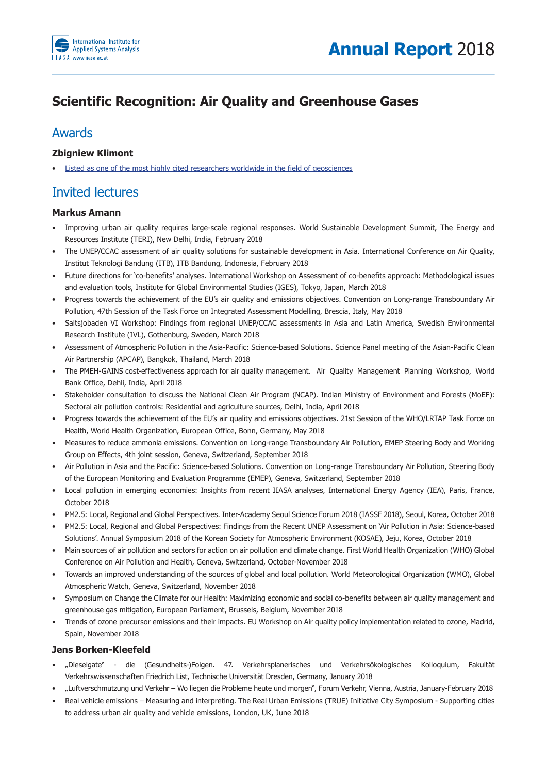

# **Scientific Recognition: Air Quality and Greenhouse Gases**

# Awards

# **Zbigniew Klimont**

Listed as one of the most highly cited researchers worldwide in the field of geosciences

# Invited lectures

# **Markus Amann**

- Improving urban air quality requires large-scale regional responses. World Sustainable Development Summit, The Energy and Resources Institute (TERI), New Delhi, India, February 2018
- The UNEP/CCAC assessment of air quality solutions for sustainable development in Asia. International Conference on Air Quality, Institut Teknologi Bandung (ITB), ITB Bandung, Indonesia, February 2018
- Future directions for 'co-benefits' analyses. International Workshop on Assessment of co-benefits approach: Methodological issues and evaluation tools, Institute for Global Environmental Studies (IGES), Tokyo, Japan, March 2018
- Progress towards the achievement of the EU's air quality and emissions objectives. Convention on Long-range Transboundary Air Pollution, 47th Session of the Task Force on Integrated Assessment Modelling, Brescia, Italy, May 2018
- Saltsjobaden VI Workshop: Findings from regional UNEP/CCAC assessments in Asia and Latin America, Swedish Environmental Research Institute (IVL), Gothenburg, Sweden, March 2018
- Assessment of Atmospheric Pollution in the Asia-Pacific: Science-based Solutions. Science Panel meeting of the Asian-Pacific Clean Air Partnership (APCAP), Bangkok, Thailand, March 2018
- The PMEH-GAINS cost-effectiveness approach for air quality management. Air Quality Management Planning Workshop, World Bank Office, Dehli, India, April 2018
- Stakeholder consultation to discuss the National Clean Air Program (NCAP). Indian Ministry of Environment and Forests (MoEF): Sectoral air pollution controls: Residential and agriculture sources, Delhi, India, April 2018
- Progress towards the achievement of the EU's air quality and emissions objectives. 21st Session of the WHO/LRTAP Task Force on Health, World Health Organization, European Office, Bonn, Germany, May 2018
- Measures to reduce ammonia emissions. Convention on Long-range Transboundary Air Pollution, EMEP Steering Body and Working Group on Effects, 4th joint session, Geneva, Switzerland, September 2018
- Air Pollution in Asia and the Pacific: Science-based Solutions. Convention on Long-range Transboundary Air Pollution, Steering Body of the European Monitoring and Evaluation Programme (EMEP), Geneva, Switzerland, September 2018
- Local pollution in emerging economies: Insights from recent IIASA analyses, International Energy Agency (IEA), Paris, France, October 2018
- PM2.5: Local, Regional and Global Perspectives. Inter-Academy Seoul Science Forum 2018 (IASSF 2018), Seoul, Korea, October 2018
- PM2.5: Local, Regional and Global Perspectives: Findings from the Recent UNEP Assessment on 'Air Pollution in Asia: Science-based Solutions'. Annual Symposium 2018 of the Korean Society for Atmospheric Environment (KOSAE), Jeju, Korea, October 2018
- Main sources of air pollution and sectors for action on air pollution and climate change. First World Health Organization (WHO) Global Conference on Air Pollution and Health, Geneva, Switzerland, October-November 2018
- Towards an improved understanding of the sources of global and local pollution. World Meteorological Organization (WMO), Global Atmospheric Watch, Geneva, Switzerland, November 2018
- Symposium on Change the Climate for our Health: Maximizing economic and social co-benefits between air quality management and greenhouse gas mitigation, European Parliament, Brussels, Belgium, November 2018
- Trends of ozone precursor emissions and their impacts. EU Workshop on Air quality policy implementation related to ozone, Madrid, Spain, November 2018

### **Jens Borken-Kleefeld**

- "Dieselgate" die (Gesundheits-)Folgen. 47. Verkehrsplanerisches und Verkehrsökologisches Kolloquium, Fakultät Verkehrswissenschaften Friedrich List, Technische Universität Dresden, Germany, January 2018
- "Luftverschmutzung und Verkehr Wo liegen die Probleme heute und morgen", Forum Verkehr, Vienna, Austria, January-February 2018
- Real vehicle emissions Measuring and interpreting. The Real Urban Emissions (TRUE) Initiative City Symposium Supporting cities to address urban air quality and vehicle emissions, London, UK, June 2018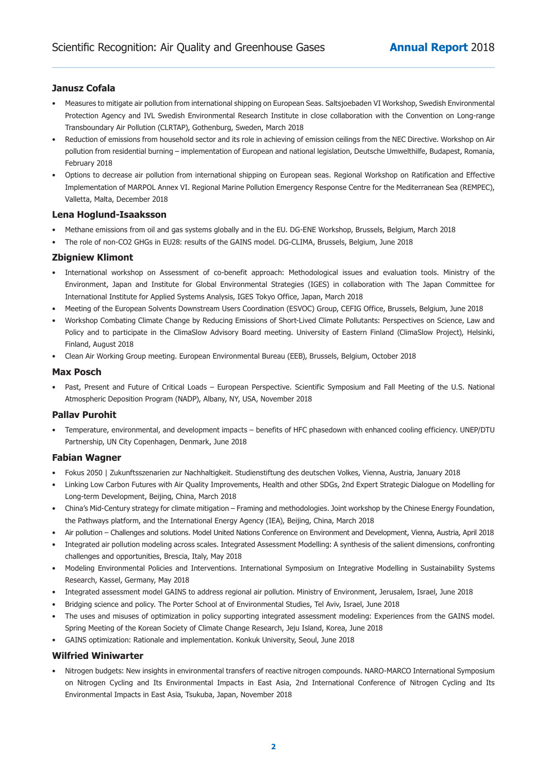# **Janusz Cofala**

- Measures to mitigate air pollution from international shipping on European Seas. Saltsjoebaden VI Workshop, Swedish Environmental Protection Agency and IVL Swedish Environmental Research Institute in close collaboration with the Convention on Long-range Transboundary Air Pollution (CLRTAP), Gothenburg, Sweden, March 2018
- Reduction of emissions from household sector and its role in achieving of emission ceilings from the NEC Directive. Workshop on Air pollution from residential burning – implementation of European and national legislation, Deutsche Umwelthilfe, Budapest, Romania, February 2018
- Options to decrease air pollution from international shipping on European seas. Regional Workshop on Ratification and Effective Implementation of MARPOL Annex VI. Regional Marine Pollution Emergency Response Centre for the Mediterranean Sea (REMPEC), Valletta, Malta, December 2018

### **Lena Hoglund-Isaaksson**

- Methane emissions from oil and gas systems globally and in the EU. DG-ENE Workshop, Brussels, Belgium, March 2018
- The role of non-CO2 GHGs in EU28: results of the GAINS model. DG-CLIMA, Brussels, Belgium, June 2018

#### **Zbigniew Klimont**

- International workshop on Assessment of co-benefit approach: Methodological issues and evaluation tools. Ministry of the Environment, Japan and Institute for Global Environmental Strategies (IGES) in collaboration with The Japan Committee for International Institute for Applied Systems Analysis, IGES Tokyo Office, Japan, March 2018
- Meeting of the European Solvents Downstream Users Coordination (ESVOC) Group, CEFIG Office, Brussels, Belgium, June 2018
- Workshop Combating Climate Change by Reducing Emissions of Short-Lived Climate Pollutants: Perspectives on Science, Law and Policy and to participate in the ClimaSlow Advisory Board meeting. University of Eastern Finland (ClimaSlow Project), Helsinki, Finland, August 2018
- Clean Air Working Group meeting. European Environmental Bureau (EEB), Brussels, Belgium, October 2018

#### **Max Posch**

• Past, Present and Future of Critical Loads – European Perspective. Scientific Symposium and Fall Meeting of the U.S. National Atmospheric Deposition Program (NADP), Albany, NY, USA, November 2018

#### **Pallav Purohit**

• Temperature, environmental, and development impacts – benefits of HFC phasedown with enhanced cooling efficiency. UNEP/DTU Partnership, UN City Copenhagen, Denmark, June 2018

### **Fabian Wagner**

- Fokus 2050 | Zukunftsszenarien zur Nachhaltigkeit. Studienstiftung des deutschen Volkes, Vienna, Austria, January 2018
- Linking Low Carbon Futures with Air Quality Improvements, Health and other SDGs, 2nd Expert Strategic Dialogue on Modelling for Long-term Development, Beijing, China, March 2018
- China's Mid-Century strategy for climate mitigation Framing and methodologies. Joint workshop by the Chinese Energy Foundation, the Pathways platform, and the International Energy Agency (IEA), Beijing, China, March 2018
- Air pollution Challenges and solutions. Model United Nations Conference on Environment and Development, Vienna, Austria, April 2018
- Integrated air pollution modeling across scales. Integrated Assessment Modelling: A synthesis of the salient dimensions, confronting challenges and opportunities, Brescia, Italy, May 2018
- Modeling Environmental Policies and Interventions. International Symposium on Integrative Modelling in Sustainability Systems Research, Kassel, Germany, May 2018
- Integrated assessment model GAINS to address regional air pollution. Ministry of Environment, Jerusalem, Israel, June 2018
- Bridging science and policy. The Porter School at of Environmental Studies, Tel Aviv, Israel, June 2018
- The uses and misuses of optimization in policy supporting integrated assessment modeling: Experiences from the GAINS model. Spring Meeting of the Korean Society of Climate Change Research, Jeju Island, Korea, June 2018
- GAINS optimization: Rationale and implementation. Konkuk University, Seoul, June 2018

### **Wilfried Winiwarter**

Nitrogen budgets: New insights in environmental transfers of reactive nitrogen compounds. NARO-MARCO International Symposium on Nitrogen Cycling and Its Environmental Impacts in East Asia, 2nd International Conference of Nitrogen Cycling and Its Environmental Impacts in East Asia, Tsukuba, Japan, November 2018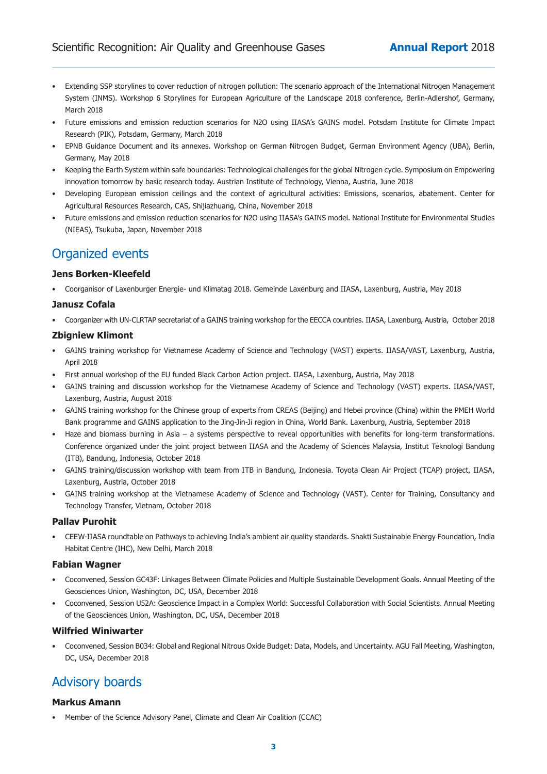- Extending SSP storylines to cover reduction of nitrogen pollution: The scenario approach of the International Nitrogen Management System (INMS). Workshop 6 Storylines for European Agriculture of the Landscape 2018 conference, Berlin-Adlershof, Germany, March 2018
- Future emissions and emission reduction scenarios for N2O using IIASA's GAINS model. Potsdam Institute for Climate Impact Research (PIK), Potsdam, Germany, March 2018
- EPNB Guidance Document and its annexes. Workshop on German Nitrogen Budget, German Environment Agency (UBA), Berlin, Germany, May 2018
- Keeping the Earth System within safe boundaries: Technological challenges for the global Nitrogen cycle. Symposium on Empowering innovation tomorrow by basic research today. Austrian Institute of Technology, Vienna, Austria, June 2018
- Developing European emission ceilings and the context of agricultural activities: Emissions, scenarios, abatement. Center for Agricultural Resources Research, CAS, Shijiazhuang, China, November 2018
- Future emissions and emission reduction scenarios for N2O using IIASA's GAINS model. National Institute for Environmental Studies (NIEAS), Tsukuba, Japan, November 2018

# Organized events

### **Jens Borken-Kleefeld**

• Coorganisor of Laxenburger Energie- und Klimatag 2018. Gemeinde Laxenburg and IIASA, Laxenburg, Austria, May 2018

### **Janusz Cofala**

• Coorganizer with UN-CLRTAP secretariat of a GAINS training workshop for the EECCA countries. IIASA, Laxenburg, Austria, October 2018

# **Zbigniew Klimont**

- GAINS training workshop for Vietnamese Academy of Science and Technology (VAST) experts. IIASA/VAST, Laxenburg, Austria, April 2018
- First annual workshop of the EU funded Black Carbon Action project. IIASA, Laxenburg, Austria, May 2018
- GAINS training and discussion workshop for the Vietnamese Academy of Science and Technology (VAST) experts. IIASA/VAST, Laxenburg, Austria, August 2018
- GAINS training workshop for the Chinese group of experts from CREAS (Beijing) and Hebei province (China) within the PMEH World Bank programme and GAINS application to the Jing-Jin-Ji region in China, World Bank. Laxenburg, Austria, September 2018
- Haze and biomass burning in Asia a systems perspective to reveal opportunities with benefits for long-term transformations. Conference organized under the joint project between IIASA and the Academy of Sciences Malaysia, Institut Teknologi Bandung (ITB), Bandung, Indonesia, October 2018
- GAINS training/discussion workshop with team from ITB in Bandung, Indonesia. Toyota Clean Air Project (TCAP) project, IIASA, Laxenburg, Austria, October 2018
- GAINS training workshop at the Vietnamese Academy of Science and Technology (VAST). Center for Training, Consultancy and Technology Transfer, Vietnam, October 2018

# **Pallav Purohit**

CEEW-IIASA roundtable on Pathways to achieving India's ambient air quality standards. Shakti Sustainable Energy Foundation, India Habitat Centre (IHC), New Delhi, March 2018

### **Fabian Wagner**

- Coconvened, Session GC43F: Linkages Between Climate Policies and Multiple Sustainable Development Goals. Annual Meeting of the Geosciences Union, Washington, DC, USA, December 2018
- Coconvened, Session U52A: Geoscience Impact in a Complex World: Successful Collaboration with Social Scientists. Annual Meeting of the Geosciences Union, Washington, DC, USA, December 2018

### **Wilfried Winiwarter**

• Coconvened, Session B034: Global and Regional Nitrous Oxide Budget: Data, Models, and Uncertainty. AGU Fall Meeting, Washington, DC, USA, December 2018

# **Advisory boards**

# **Markus Amann**

• Member of the Science Advisory Panel, Climate and Clean Air Coalition (CCAC)